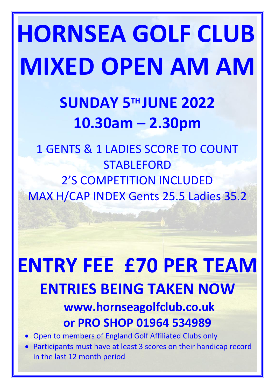# **HORNSEA GOLF CLUB MIXED OPEN AM AM**

## **SUNDAY 5 TH JUNE 2022 10.30am – 2.30pm**

1 GENTS & 1 LADIES SCORE TO COUNT **STABLEFORD** 2'S COMPETITION INCLUDED MAX H/CAP INDEX Gents 25.5 Ladies 35.2

# **ENTRY FEE £70 PER TEAM ENTRIES BEING TAKEN NOW**

## **www.hornseagolfclub.co.uk or PRO SHOP 01964 534989**

- Open to members of England Golf Affiliated Clubs only
- Participants must have at least 3 scores on their handicap record in the last 12 month period